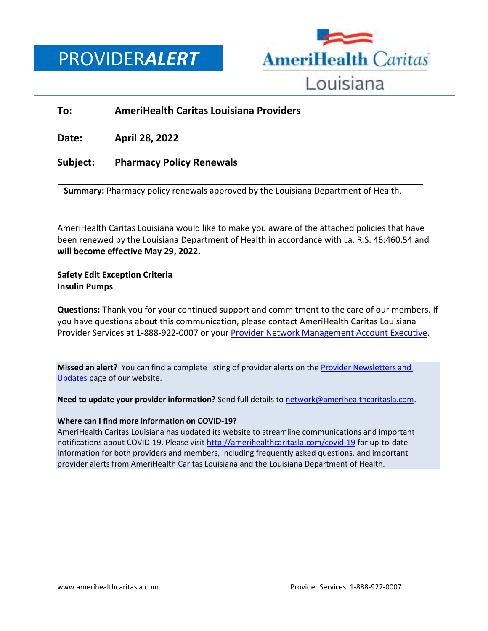PROVIDER*ALERT*



## **To: AmeriHealth Caritas Louisiana Providers**

**Date: April 28, 2022**

## **Subject: Pharmacy Policy Renewals**

**Summary:** Pharmacy policy renewals approved by the Louisiana Department of Health.

AmeriHealth Caritas Louisiana would like to make you aware of the attached policies that have been renewed by the Louisiana Department of Health in accordance with La. R.S. 46:460.54 and **will become effective May 29, 2022.**

## **Safety Edit Exception Criteria Insulin Pumps**

**Questions:** Thank you for your continued support and commitment to the care of our members. If you have questions about this communication, please contact AmeriHealth Caritas Louisiana Provider Services at 1-888-922-0007 or you[r Provider Network Management Account Executive.](http://www.amerihealthcaritasla.com/pdf/provider/account-executives.pdf)

**Missed an alert?** You can find a complete listing of provider alerts on th[e Provider Newsletters and](http://amerihealthcaritasla.com/provider/newsletters-and-updates)  [Updates](http://amerihealthcaritasla.com/provider/newsletters-and-updates) page of our website.

**Need to update your provider information?** Send full details to [network@amerihealthcaritasla.com.](file://///nasfsu01/LAusers/kf20871/My%20Documents/network@amerihealthcaritasla.com)

## **Where can I find more information on COVID-19?**

AmeriHealth Caritas Louisiana has updated its website to streamline communications and important notifications about COVID-19. Please visit<http://amerihealthcaritasla.com/covid-19> for up-to-date information for both providers and members, including frequently asked questions, and important provider alerts from AmeriHealth Caritas Louisiana and the Louisiana Department of Health.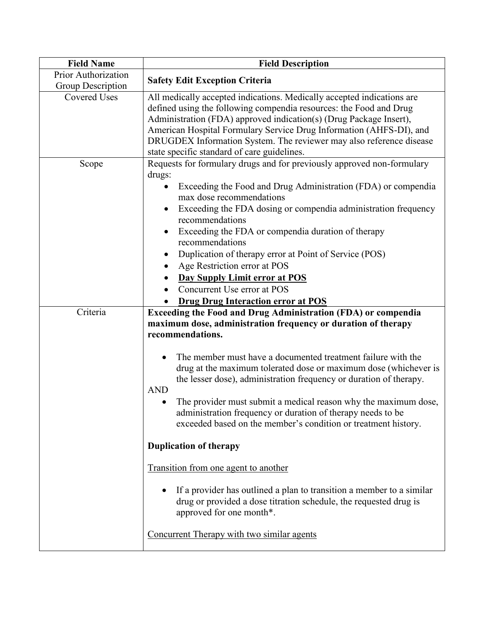| <b>Field Name</b>                        | <b>Field Description</b>                                                                                                                                                                                                                                                                                                                                                                                                                                                                                                                                                              |
|------------------------------------------|---------------------------------------------------------------------------------------------------------------------------------------------------------------------------------------------------------------------------------------------------------------------------------------------------------------------------------------------------------------------------------------------------------------------------------------------------------------------------------------------------------------------------------------------------------------------------------------|
| Prior Authorization<br>Group Description | <b>Safety Edit Exception Criteria</b>                                                                                                                                                                                                                                                                                                                                                                                                                                                                                                                                                 |
| <b>Covered Uses</b>                      | All medically accepted indications. Medically accepted indications are<br>defined using the following compendia resources: the Food and Drug<br>Administration (FDA) approved indication(s) (Drug Package Insert),<br>American Hospital Formulary Service Drug Information (AHFS-DI), and<br>DRUGDEX Information System. The reviewer may also reference disease<br>state specific standard of care guidelines.                                                                                                                                                                       |
| Scope                                    | Requests for formulary drugs and for previously approved non-formulary<br>drugs:<br>Exceeding the Food and Drug Administration (FDA) or compendia<br>$\bullet$<br>max dose recommendations<br>Exceeding the FDA dosing or compendia administration frequency<br>$\bullet$<br>recommendations<br>Exceeding the FDA or compendia duration of therapy<br>recommendations<br>Duplication of therapy error at Point of Service (POS)<br>Age Restriction error at POS<br>$\bullet$<br><b>Day Supply Limit error at POS</b><br>Concurrent Use error at POS                                   |
|                                          | <b>Drug Drug Interaction error at POS</b>                                                                                                                                                                                                                                                                                                                                                                                                                                                                                                                                             |
| Criteria                                 | <b>Exceeding the Food and Drug Administration (FDA) or compendia</b><br>maximum dose, administration frequency or duration of therapy<br>recommendations.<br>The member must have a documented treatment failure with the<br>drug at the maximum tolerated dose or maximum dose (whichever is<br>the lesser dose), administration frequency or duration of therapy.<br><b>AND</b><br>The provider must submit a medical reason why the maximum dose,<br>administration frequency or duration of therapy needs to be<br>exceeded based on the member's condition or treatment history. |
|                                          | <b>Duplication of therapy</b>                                                                                                                                                                                                                                                                                                                                                                                                                                                                                                                                                         |
|                                          | Transition from one agent to another<br>If a provider has outlined a plan to transition a member to a similar                                                                                                                                                                                                                                                                                                                                                                                                                                                                         |
|                                          | drug or provided a dose titration schedule, the requested drug is<br>approved for one month*.<br>Concurrent Therapy with two similar agents                                                                                                                                                                                                                                                                                                                                                                                                                                           |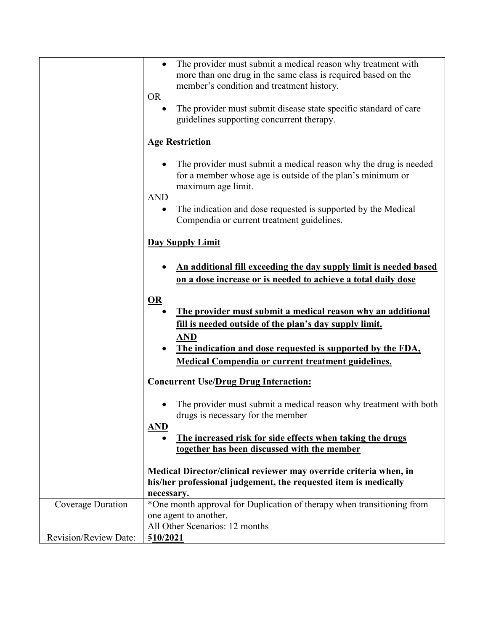|                              | The provider must submit a medical reason why treatment with<br>more than one drug in the same class is required based on the<br>member's condition and treatment history.<br><b>OR</b>                                                                                     |
|------------------------------|-----------------------------------------------------------------------------------------------------------------------------------------------------------------------------------------------------------------------------------------------------------------------------|
|                              | The provider must submit disease state specific standard of care<br>guidelines supporting concurrent therapy.                                                                                                                                                               |
|                              | <b>Age Restriction</b>                                                                                                                                                                                                                                                      |
|                              | The provider must submit a medical reason why the drug is needed<br>for a member whose age is outside of the plan's minimum or<br>maximum age limit.                                                                                                                        |
|                              | <b>AND</b>                                                                                                                                                                                                                                                                  |
|                              | The indication and dose requested is supported by the Medical<br>Compendia or current treatment guidelines.                                                                                                                                                                 |
|                              | <b>Day Supply Limit</b>                                                                                                                                                                                                                                                     |
|                              | An additional fill exceeding the day supply limit is needed based<br>on a dose increase or is needed to achieve a total daily dose                                                                                                                                          |
|                              | OR<br>The provider must submit a medical reason why an additional<br><u>fill is needed outside of the plan's day supply limit.</u><br><b>AND</b><br>The indication and dose requested is supported by the FDA,<br><b>Medical Compendia or current treatment guidelines.</b> |
|                              |                                                                                                                                                                                                                                                                             |
|                              | <b>Concurrent Use/Drug Drug Interaction:</b>                                                                                                                                                                                                                                |
|                              | The provider must submit a medical reason why treatment with both<br>drugs is necessary for the member<br><b>AND</b>                                                                                                                                                        |
|                              |                                                                                                                                                                                                                                                                             |
|                              | The increased risk for side effects when taking the drugs                                                                                                                                                                                                                   |
|                              | together has been discussed with the member                                                                                                                                                                                                                                 |
|                              | Medical Director/clinical reviewer may override criteria when, in                                                                                                                                                                                                           |
|                              | his/her professional judgement, the requested item is medically                                                                                                                                                                                                             |
|                              |                                                                                                                                                                                                                                                                             |
|                              | necessary.                                                                                                                                                                                                                                                                  |
| Coverage Duration            | *One month approval for Duplication of therapy when transitioning from                                                                                                                                                                                                      |
|                              | one agent to another.                                                                                                                                                                                                                                                       |
|                              | All Other Scenarios: 12 months                                                                                                                                                                                                                                              |
| <b>Revision/Review Date:</b> | 510/2021                                                                                                                                                                                                                                                                    |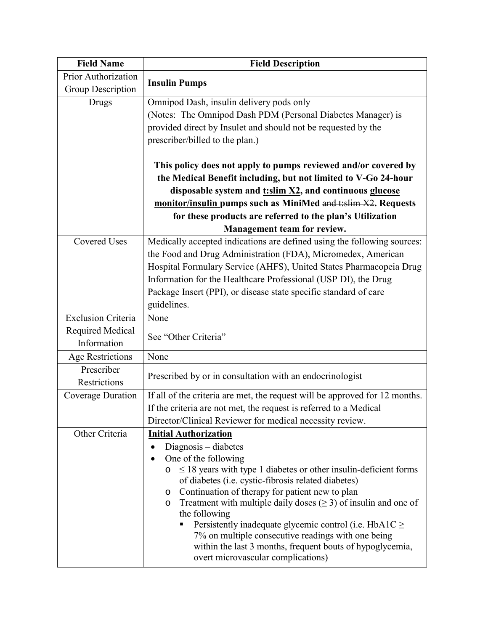| <b>Field Name</b>         | <b>Field Description</b>                                                                                                                |
|---------------------------|-----------------------------------------------------------------------------------------------------------------------------------------|
| Prior Authorization       | <b>Insulin Pumps</b>                                                                                                                    |
| Group Description         |                                                                                                                                         |
| Drugs                     | Omnipod Dash, insulin delivery pods only                                                                                                |
|                           | (Notes: The Omnipod Dash PDM (Personal Diabetes Manager) is                                                                             |
|                           | provided direct by Insulet and should not be requested by the                                                                           |
|                           | prescriber/billed to the plan.)                                                                                                         |
|                           |                                                                                                                                         |
|                           | This policy does not apply to pumps reviewed and/or covered by                                                                          |
|                           | the Medical Benefit including, but not limited to V-Go 24-hour                                                                          |
|                           | disposable system and t:slim X2, and continuous glucose                                                                                 |
|                           | monitor/insulin pumps such as MiniMed and taxim X2. Requests                                                                            |
|                           | for these products are referred to the plan's Utilization                                                                               |
|                           | Management team for review.                                                                                                             |
| <b>Covered Uses</b>       | Medically accepted indications are defined using the following sources:                                                                 |
|                           | the Food and Drug Administration (FDA), Micromedex, American                                                                            |
|                           | Hospital Formulary Service (AHFS), United States Pharmacopeia Drug                                                                      |
|                           | Information for the Healthcare Professional (USP DI), the Drug                                                                          |
|                           | Package Insert (PPI), or disease state specific standard of care                                                                        |
|                           | guidelines.                                                                                                                             |
| <b>Exclusion Criteria</b> | None                                                                                                                                    |
| Required Medical          | See "Other Criteria"                                                                                                                    |
| Information               |                                                                                                                                         |
| <b>Age Restrictions</b>   | None                                                                                                                                    |
| Prescriber                | Prescribed by or in consultation with an endocrinologist                                                                                |
| <b>Restrictions</b>       |                                                                                                                                         |
| Coverage Duration         | If all of the criteria are met, the request will be approved for 12 months.                                                             |
|                           | If the criteria are not met, the request is referred to a Medical                                                                       |
|                           | Director/Clinical Reviewer for medical necessity review.                                                                                |
| Other Criteria            | <b>Initial Authorization</b>                                                                                                            |
|                           | Diagnosis - diabetes<br>$\bullet$                                                                                                       |
|                           | One of the following                                                                                                                    |
|                           | $\leq$ 18 years with type 1 diabetes or other insulin-deficient forms<br>$\circ$<br>of diabetes (i.e. cystic-fibrosis related diabetes) |
|                           | Continuation of therapy for patient new to plan<br>$\circ$                                                                              |
|                           | Treatment with multiple daily doses $(\geq 3)$ of insulin and one of<br>$\circ$                                                         |
|                           | the following                                                                                                                           |
|                           | Persistently inadequate glycemic control (i.e. HbA1C $\geq$                                                                             |
|                           | 7% on multiple consecutive readings with one being                                                                                      |
|                           | within the last 3 months, frequent bouts of hypoglycemia,                                                                               |
|                           | overt microvascular complications)                                                                                                      |